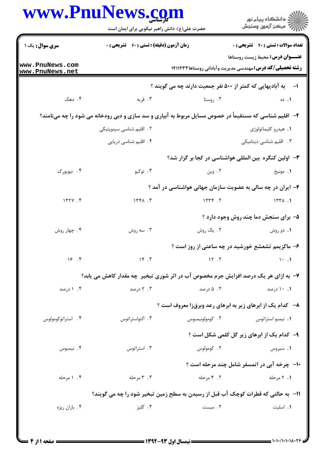|                                    | حضرت علی(ع): دانش راهبر نیکویی برای ایمان است                                                          |                                                                  | ڪ دانشڪاه پيا <sub>م</sub> نور<br>∕ <sup>7</sup> مرڪز آزمون وسنڊش |  |
|------------------------------------|--------------------------------------------------------------------------------------------------------|------------------------------------------------------------------|-------------------------------------------------------------------|--|
| <b>سری سوال :</b> یک ۱             | زمان آزمون (دقیقه) : تستی : 60 گشریحی : 0                                                              |                                                                  | <b>تعداد سوالات : تستی : 40 - تشریحی : 0</b>                      |  |
| www.PnuNews.com<br>www.PnuNews.net |                                                                                                        | <b>رشته تحصیلی/کد درس:</b> مهندسی مدیریت وآبادانی روستاها۱۴۱۱۲۳۳ | <b>عنـــوان درس:</b> محیط زیست روستاها                            |  |
|                                    |                                                                                                        | به آبادیهایی که کمتر از ۵۰۰ نفر جمعیت دارند چه می گویند ؟        | $\rightarrow$                                                     |  |
| ۰۴ دهک                             | ۰۳ قریه                                                                                                | ۰۲ روستا                                                         | ۰۱. ده                                                            |  |
|                                    | ۲- آقلیم شناسی که مستقیماً در خصوص مسایل مربوط به آبیاری و سد سازی و دبی رودخانه می شود را چه مینامند؟ |                                                                  |                                                                   |  |
|                                    | ۲. اقلیم شناسی سینوپتیکی                                                                               |                                                                  | ۰۱ هیدرو کلیماتولوژی                                              |  |
|                                    | ۰۴ اقلیم شناسی دریایی                                                                                  |                                                                  | ۰۳ اقلیم شناسی دینامیکی                                           |  |
|                                    |                                                                                                        | ۳- اولین کنگره بین المللی هواشناسی در کجا بر گزار شد؟            |                                                                   |  |
| ۰۴ نیویورک                         | ۰۳ توکیو                                                                                               | ۰۲ وین                                                           | ۰۱ مونیخ                                                          |  |
|                                    |                                                                                                        | ۴- ایران در چه سالی به عضویت سازمان جهانی هواشناسی در آمد ؟      |                                                                   |  |
| 177Y.                              | 1561.7                                                                                                 | 15.75                                                            | $157\lambda$ .                                                    |  |
|                                    |                                                                                                        |                                                                  | ۵- برای سنجش دما چند روش وجود دارد ؟                              |  |
| ۰۴ چهار روش                        | ۰۳ سه روش                                                                                              | ۰۲ یک روش                                                        | ۰۱ دو روش                                                         |  |
|                                    |                                                                                                        | ۶- ماکزیمم تشعشع خورشید در چه ساعتی از روز است ؟                 |                                                                   |  |
| 18.7                               | $\mathcal{N}$                                                                                          | $\overline{17}$ . $\overline{1}$                                 | $\mathcal{N}$ .                                                   |  |
|                                    | ۷- به ازای هر یک درصد افزایش جرم مخصوص آب در اثر شوری تبخیر چه مقدار کاهش می یابد؟                     |                                                                  |                                                                   |  |
| ۰۴ درصد                            | ۲ . ۲ درصد                                                                                             | ۰۲ ۵ درصد                                                        | ۰.۱۱ درصد                                                         |  |
|                                    |                                                                                                        | ۸− کدام یک از ابرهای زیر به ابرهای رعد وبرقزا معروف است ؟        |                                                                   |  |
| ۰۴ استراتوكومولوس                  | ۰۳ آلتواستراتوس                                                                                        | ۰۲ کومولونیمبوس                                                  | ۰۱ نیمبو استراتوس                                                 |  |
|                                    |                                                                                                        |                                                                  | ۹- کدام یک از ابرهای زیر گل کلمی شکل است ؟                        |  |
| ۰۴ نیمبوس                          | ۰۳ استراتوس                                                                                            | ۰۲ کومولوس                                                       | ۰۱ سیروس                                                          |  |
|                                    |                                                                                                        |                                                                  | ۱۰- چرخه آبی در اتمسفر شامل چند مرحله است ؟                       |  |
| ۰۴ ۱ مرحله                         | ۰۳ مرحله                                                                                               | ۲. ۴ مرحله                                                       | ۱. ۲ مرحله                                                        |  |
|                                    | 1۱- به حالتی که قطرات کوچک آب قبل از رسیدن به سطح زمین تبخیر شود را چه می گویند؟                       |                                                                  |                                                                   |  |
| ۰۴ باران ريزه                      | ۰۳ گليز                                                                                                | ٢. میست                                                          | ٠١. اسليت                                                         |  |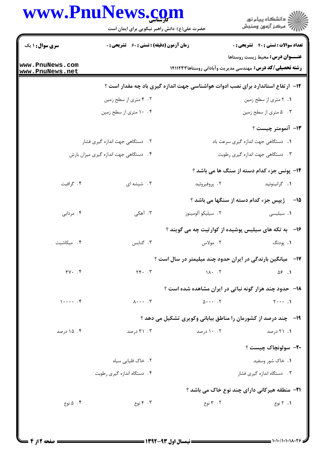## www.PnuNews.com

|                                    | حضرت علی(ع): دانش راهبر نیکویی برای ایمان است      |                                                                                 | ِ<br>∭ دانشڪاه پيام نور<br>∭ مرڪز آزمون وسنڊش         |  |
|------------------------------------|----------------------------------------------------|---------------------------------------------------------------------------------|-------------------------------------------------------|--|
| <b>سری سوال : ۱ یک</b>             | <b>زمان آزمون (دقیقه) : تستی : 60 ٪ تشریحی : 0</b> |                                                                                 | تعداد سوالات : تستى : 40 تشريحي : 0                   |  |
| www.PnuNews.com<br>www.PnuNews.net |                                                    | <b>رشته تحصیلی/کد درس:</b> مهندسی مدیریت وآبادانی روستاها۱۴۱۱۲۳                 | <b>عنـــوان درس:</b> محیط زیست روستاها                |  |
|                                    |                                                    | ۱۲- ارتفاع استاندارد برای نصب ادوات هواشناسی جهت اندازه گیری باد چه مقدار است ؟ |                                                       |  |
|                                    | ۰۲ متری از سطح زمین                                |                                                                                 | ۰۱ ۲ متری از سطح زمین                                 |  |
|                                    | ۰۴ ۱۰ متری از سطح زمین                             |                                                                                 | ۰۳ ه متری از سطح زمین                                 |  |
|                                    |                                                    |                                                                                 | <b>۱۳</b> - آنمومتر چیست ؟                            |  |
|                                    | ٢. دستگاهی جهت اندازه گیری فشار                    |                                                                                 | 1. دستگاهی جهت اندازه گیری سرعت باد                   |  |
|                                    | ۰۴ دستگاهی جهت اندازه گیری میزان بارش              |                                                                                 | ۰۳ دستگاهی جهت اندازه گیری رطوبت                      |  |
|                                    |                                                    |                                                                                 | <b>۱۴</b> - پونس جزء کدام دسته از سنگ ها می باشد ؟    |  |
| ۰۴ گرافیت                          | ۰۳ شیشه ای                                         | ۰۲ پروفيروئيد                                                                   | ٠١ گرانيتوئيد                                         |  |
|                                    |                                                    |                                                                                 | 15- ژیپس جزء کدام دسته از سنگها می باشد ؟             |  |
| ۰۴ مردابی                          | ۰۳ آهکی                                            | ٢. سيليكو ألومينوز                                                              | ٠١. سيليسى                                            |  |
|                                    |                                                    | ۱۶- به تکه های سیلیس پوشیده از کوارتیت چه می گویند ؟                            |                                                       |  |
| ۴. میکاشیت                         | ۰۳ گنایس                                           | ۲. مولاس                                                                        | ۰۱. پودنگ                                             |  |
|                                    |                                                    | ۱۷- - میانگین بارندگی در ایران حدود چند میلیمتر در سال است ؟                    |                                                       |  |
| $\forall Y \cdot . \forall$        | $Yf \cdot \cdot \cdot Y$                           | $1\Lambda$ $\cdot$ $\cdot$ $\Lambda$                                            | $\Delta$ ۶.1                                          |  |
|                                    |                                                    | <b>۱۸</b> - حدود چند هزار گونه نباتی در ایران مشاهده شده است ؟                  |                                                       |  |
| $1 \cdots$ . $f$                   | $\lambda \cdots$ . $\mathsf{r}$                    | $\Delta \cdot \cdot \cdot$ . $\mathsf{Y}$                                       | $Y \cdots$ .                                          |  |
|                                    |                                                    | ۱۹- دچند درصد از کشورمان را مناطق بیابانی وکوپری تشکیل می دهد ؟                 |                                                       |  |
| ۰۴ درصد                            | ۰۳ درصد                                            | ۰.۲ درصد                                                                        | ۰۱ درصد                                               |  |
|                                    |                                                    |                                                                                 | ٢٠- سولونچاک چيست ؟                                   |  |
|                                    | ۲. خاک قلیایی سیاه                                 |                                                                                 | ۰۱ خاک شور وسفید                                      |  |
|                                    | ۰۴ دستگاه اندازه گیری رطوبت                        |                                                                                 | ۰۳ دستگاه اندازه گیری فشار                            |  |
|                                    |                                                    |                                                                                 | <b>۲۱</b> - منطقه هیرکانی دارای چند نوع خاک می باشد ؟ |  |
| ۰۴ ۵ نوع                           | ۰۳ نوع                                             | ۲. ۳ نوع                                                                        | ۰۱ ۲ نوع                                              |  |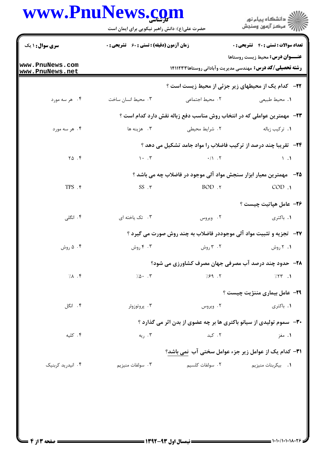## www.PnuNews.com

|                                    | www.PnuNews.com<br>حضرت علی(ع): دانش راهبر نیکویی برای ایمان است                                          |                                                                                   | ڪ دانشڪاه پيا <sub>م</sub> نور<br>ر∕ <sup>7</sup> مرڪز آزمون وسنڊش |  |
|------------------------------------|-----------------------------------------------------------------------------------------------------------|-----------------------------------------------------------------------------------|--------------------------------------------------------------------|--|
| <b>سری سوال :</b> ۱ یک             | <b>زمان آزمون (دقیقه) : تستی : 60 ٪ تشریحی : 0</b>                                                        |                                                                                   | <b>تعداد سوالات : تستي : 40 - تشريحي : 0</b>                       |  |
| www.PnuNews.com<br>www.PnuNews.net | <b>عنــوان درس:</b> محیط زیست روستاها<br><b>رشته تحصیلی/کد درس:</b> مهندسی مدیریت وآبادانی روستاها۱۴۱۱۲۳۳ |                                                                                   |                                                                    |  |
|                                    |                                                                                                           | <b>۲۲-</b> کدام یک از محیطهای زیر جزئی از محیط زیست است ؟                         |                                                                    |  |
| ۴. هر سه مورد                      | ۰۳ محیط انسان ساخت                                                                                        | ۲. محیط اجتماعی                                                                   | ٠١. محيط طبيعي                                                     |  |
|                                    |                                                                                                           | <b>۲۳</b> -   مهمترین عواملی که در انتخاب روش مناسب دفع زباله نقش دارد کدام است ؟ |                                                                    |  |
| ۰۴ هر سه مورد                      | ۰۳ هزینه ها                                                                                               | ٢. شرايط محيطى                                                                    | 1. تركيب زباله                                                     |  |
|                                    |                                                                                                           | <b>۳۴</b> - تقریبا چند درصد از ترکیب فاضلاب را مواد جامد تشکیل می دهد ؟           |                                                                    |  |
| $Y\Delta$ .                        | $\mathcal{N}$ . $\mathcal{N}$                                                                             | $\cdot / \cdot$ . Y                                                               | $\setminus$ .                                                      |  |
|                                    |                                                                                                           | <b>۲۵</b> – مهمترین معیار ابزار سنجش مواد آلی موجود در فاضلاب چه می باشد ؟        |                                                                    |  |
| TPS . ۴                            | $SS \cdot \tau$                                                                                           | BOD .٢                                                                            | COD.                                                               |  |
|                                    |                                                                                                           |                                                                                   | <b>۲۶</b> – عامل هپاتیت چیست ؟                                     |  |
| ۴. انگلی                           | ۰۳ تک یاخته ای                                                                                            | ۰۲ ویروس                                                                          | ۰۱ باکتری                                                          |  |
|                                    |                                                                                                           | <b>۲۷</b> -   تجزیه و تثبیت مواد آلی موجوددر فاضلاب به چند روش صورت می گیرد ؟     |                                                                    |  |
| ۰۲ ۵ روش                           | ۴ . ۴ روش                                                                                                 | ۲ . ۳ روش                                                                         | ۰۱ ۲ روش                                                           |  |
|                                    |                                                                                                           | <b>۲۸-۔ حدود چند درصد آب مصرفی جهان مصرف کشاورزی می شود؟</b>                      |                                                                    |  |
| 7.1                                | $7.0 \cdot 7$                                                                                             | 7.89.7                                                                            | $755$ $\cdot$                                                      |  |
|                                    |                                                                                                           |                                                                                   | <b>۲۹</b> - عامل بیماری مننژیت چیست ؟                              |  |
| ۴. انگل                            | ۰۳ پروتوزوئر                                                                                              | ۰۲ ویروس                                                                          | ۰۱ باکتری                                                          |  |
|                                    |                                                                                                           | <b>۳۰</b> - سموم تولیدی از سیانو باکتری ها بر چه عضوی از بدن اثر می گذارد ؟       |                                                                    |  |
| ۰۴ کلیه                            | ۰۳ ریه                                                                                                    | ۰۲ کید                                                                            | ۱. مغز                                                             |  |
|                                    |                                                                                                           | <b>٣١-</b> کدام یک از عوامل زیر جزء عوامل سختی آب نمی باشد؟                       |                                                                    |  |
| ۰۴ انیدرید کربنیک                  | ۰۳ سولفات منيزيم                                                                                          | ٢. سولفات كلسيم                                                                   | 1. بيكربنات منيزيم                                                 |  |